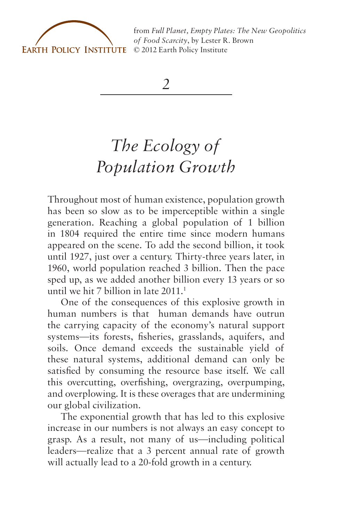

from *[Full Planet, Empty Plates: The New Geopolitics](http://www.earth-policy.org) of Food Scarcity*, by Lester R. Brown

*2*

## *The Ecology of Population Growth*

Throughout most of human existence, population growth has been so slow as to be imperceptible within a single generation. Reaching a global population of 1 billion in 1804 required the entire time since modern humans appeared on the scene. To add the second billion, it took until 1927, just over a century. Thirty-three years later, in 1960, world population reached 3 billion. Then the pace sped up, as we added another billion every 13 years or so until we hit 7 billion in late  $2011<sup>1</sup>$ 

One of the consequences of this explosive growth in human numbers is that human demands have outrun the carrying capacity of the economy's natural support systems—its forests, fisheries, grasslands, aquifers, and soils. Once demand exceeds the sustainable yield of these natural systems, additional demand can only be satisfied by consuming the resource base itself. We call this overcutting, overfishing, overgrazing, overpumping, and overplowing. It is these overages that are undermining our global civilization.

The exponential growth that has led to this explosive increase in our numbers is not always an easy concept to grasp. As a result, not many of us—including political leaders—realize that a 3 percent annual rate of growth will actually lead to a 20-fold growth in a century.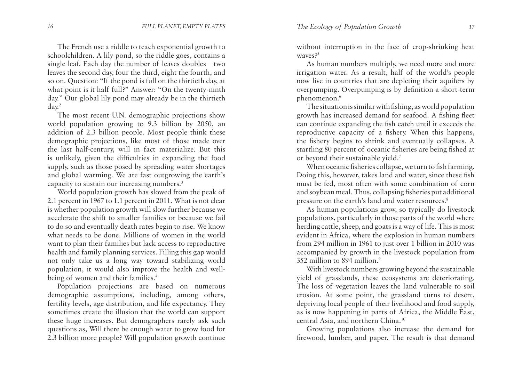The French use a riddle to teach exponential growth to schoolchildren. A lily pond, so the riddle goes, contains a single leaf. Each day the number of leaves doubles—two leaves the second day, four the third, eight the fourth, and so on. Question: "If the pond is full on the thirtieth day, at what point is it half full?" Answer: "On the twenty-ninth day." Our global lily pond may already be in the thirtieth day.2

The most recent U.N. demographic projections show world population growing to 9.3 billion by 2050, an addition of 2.3 billion people. Most people think these demographic projections, like most of those made over the last half-century, will in fact materialize. But this is unlikely, given the difficulties in expanding the food supply, such as those posed by spreading water shortages and global warming. We are fast outgrowing the earth's capacity to sustain our increasing numbers.3

World population growth has slowed from the peak of 2.1 percent in 1967 to 1.1 percent in 2011. What is not clear is whether population growth will slow further because we accelerate the shift to smaller families or because we fail to do so and eventually death rates begin to rise. We know what needs to be done. Millions of women in the world want to plan their families but lack access to reproductive health and family planning services. Filling this gap would not only take us a long way toward stabilizing world population, it would also improve the health and wellbeing of women and their families.<sup>4</sup>

Population projections are based on numerous demographic assumptions, including, among others, fertility levels, age distribution, and life expectancy. They sometimes create the illusion that the world can support these huge increases. But demographers rarely ask such questions as, Will there be enough water to grow food for 2.3 billion more people? Will population growth continue

without interruption in the face of crop-shrinking heat waves?<sup>5</sup>

As human numbers multiply, we need more and more irrigation water. As a result, half of the world's people now live in countries that are depleting their aquifers by overpumping. Overpumping is by definition a short-term phenomenon.<sup>6</sup>

The situation is similar with fishing, as world population growth has increased demand for seafood. A fishing fleet can continue expanding the fish catch until it exceeds the reproductive capacity of a fishery. When this happens, the fishery begins to shrink and eventually collapses. A startling 80 percent of oceanic fisheries are being fished at or beyond their sustainable yield.7

When oceanic fisheries collapse, we turn to fish farming. Doing this, however, takes land and water, since these fish must be fed, most often with some combination of corn and soybean meal. Thus, collapsing fisheries put additional pressure on the earth's land and water resources.8

As human populations grow, so typically do livestock populations, particularly in those parts of the world where herding cattle, sheep, and goats is a way of life. This is most evident in Africa, where the explosion in human numbers from 294 million in 1961 to just over 1 billion in 2010 was accompanied by growth in the livestock population from 352 million to 894 million.9

With livestock numbers growing beyond the sustainable yield of grasslands, these ecosystems are deteriorating. The loss of vegetation leaves the land vulnerable to soil erosion. At some point, the grassland turns to desert, depriving local people of their livelihood and food supply, as is now happening in parts of Africa, the Middle East, central Asia, and northern China.10

Growing populations also increase the demand for firewood, lumber, and paper. The result is that demand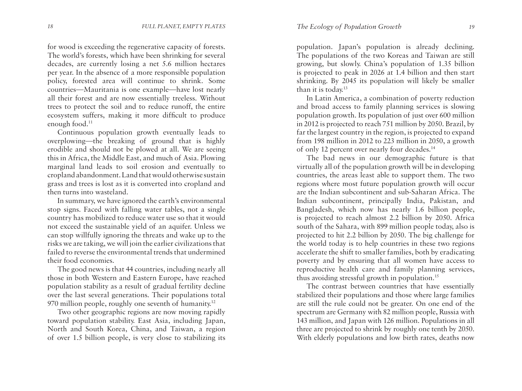for wood is exceeding the regenerative capacity of forests. The world's forests, which have been shrinking for several decades, are currently losing a net 5.6 million hectares per year. In the absence of a more responsible population policy, forested area will continue to shrink. Some countries—Mauritania is one example—have lost nearly all their forest and are now essentially treeless. Without trees to protect the soil and to reduce runoff, the entire ecosystem suffers, making it more difficult to produce enough food.<sup>11</sup>

Continuous population growth eventually leads to overplowing—the breaking of ground that is highly erodible and should not be plowed at all. We are seeing this in Africa, the Middle East, and much of Asia. Plowing marginal land leads to soil erosion and eventually to cropland abandonment. Land that would otherwise sustain grass and trees is lost as it is converted into cropland and then turns into wasteland.

In summary, we have ignored the earth's environmental stop signs. Faced with falling water tables, not a single country has mobilized to reduce water use so that it would not exceed the sustainable yield of an aquifer. Unless we can stop willfully ignoring the threats and wake up to the risks we are taking, we will join the earlier civilizations that failed to reverse the environmental trends that undermined their food economies.

The good news is that 44 countries, including nearly all those in both Western and Eastern Europe, have reached population stability as a result of gradual fertility decline over the last several generations. Their populations total 970 million people, roughly one seventh of humanity.12

Two other geographic regions are now moving rapidly toward population stability. East Asia, including Japan, North and South Korea, China, and Taiwan, a region of over 1.5 billion people, is very close to stabilizing its

population. Japan's population is already declining. The populations of the two Koreas and Taiwan are still growing, but slowly. China's population of 1.35 billion is projected to peak in 2026 at 1.4 billion and then start shrinking. By 2045 its population will likely be smaller than it is today.<sup>13</sup>

In Latin America, a combination of poverty reduction and broad access to family planning services is slowing population growth. Its population of just over 600 million in 2012 is projected to reach 751 million by 2050. Brazil, by far the largest country in the region, is projected to expand from 198 million in 2012 to 223 million in 2050, a growth of only 12 percent over nearly four decades.14

The bad news in our demographic future is that virtually all of the population growth will be in developing countries, the areas least able to support them. The two regions where most future population growth will occur are the Indian subcontinent and sub-Saharan Africa. The Indian subcontinent, principally India, Pakistan, and Bangladesh, which now has nearly 1.6 billion people, is projected to reach almost 2.2 billion by 2050. Africa south of the Sahara, with 899 million people today, also is projected to hit 2.2 billion by 2050. The big challenge for the world today is to help countries in these two regions accelerate the shift to smaller families, both by eradicating poverty and by ensuring that all women have access to reproductive health care and family planning services, thus avoiding stressful growth in population.<sup>15</sup>

The contrast between countries that have essentially stabilized their populations and those where large families are still the rule could not be greater. On one end of the spectrum are Germany with 82 million people, Russia with 143 million, and Japan with 126 million. Populations in all three are projected to shrink by roughly one tenth by 2050. With elderly populations and low birth rates, deaths now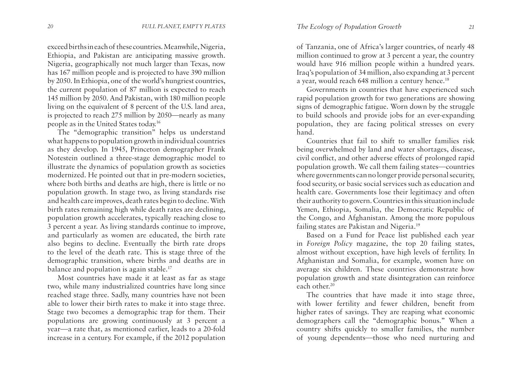exceed births in each of these countries. Meanwhile, Nigeria, Ethiopia, and Pakistan are anticipating massive growth. Nigeria, geographically not much larger than Texas, now has 167 million people and is projected to have 390 million by 2050. In Ethiopia, one of the world's hungriest countries, the current population of 87 million is expected to reach 145 million by 2050. And Pakistan, with 180 million people living on the equivalent of 8 percent of the U.S. land area, is projected to reach 275 million by 2050—nearly as many people as in the United States today.16

The "demographic transition" helps us understand what happens to population growth in individual countries as they develop. In 1945, Princeton demographer Frank Notestein outlined a three-stage demographic model to illustrate the dynamics of population growth as societies modernized. He pointed out that in pre-modern societies, where both births and deaths are high, there is little or no population growth. In stage two, as living standards rise and health care improves, death rates begin to decline. With birth rates remaining high while death rates are declining, population growth accelerates, typically reaching close to 3 percent a year. As living standards continue to improve, and particularly as women are educated, the birth rate also begins to decline. Eventually the birth rate drops to the level of the death rate. This is stage three of the demographic transition, where births and deaths are in balance and population is again stable.<sup>17</sup>

Most countries have made it at least as far as stage two, while many industrialized countries have long since reached stage three. Sadly, many countries have not been able to lower their birth rates to make it into stage three. Stage two becomes a demographic trap for them. Their populations are growing continuously at 3 percent a year—a rate that, as mentioned earlier, leads to a 20-fold increase in a century. For example, if the 2012 population

of Tanzania, one of Africa's larger countries, of nearly 48 million continued to grow at 3 percent a year, the country would have 916 million people within a hundred years. Iraq's population of 34 million, also expanding at 3 percent a year, would reach 648 million a century hence.<sup>18</sup>

Governments in countries that have experienced such rapid population growth for two generations are showing signs of demographic fatigue. Worn down by the struggle to build schools and provide jobs for an ever-expanding population, they are facing political stresses on every hand.

Countries that fail to shift to smaller families risk being overwhelmed by land and water shortages, disease, civil conflict, and other adverse effects of prolonged rapid population growth. We call them failing states—countries where governments can no longer provide personal security, food security, or basic social services such as education and health care. Governments lose their legitimacy and often their authority to govern. Countries in this situation include Yemen, Ethiopia, Somalia, the Democratic Republic of the Congo, and Afghanistan. Among the more populous failing states are Pakistan and Nigeria.19

Based on a Fund for Peace list published each year in *Foreign Policy* magazine, the top 20 failing states, almost without exception, have high levels of fertility. In Afghanistan and Somalia, for example, women have on average six children. These countries demonstrate how population growth and state disintegration can reinforce each other.20

The countries that have made it into stage three, with lower fertility and fewer children, benefit from higher rates of savings. They are reaping what economic demographers call the "demographic bonus." When a country shifts quickly to smaller families, the number of young dependents—those who need nurturing and